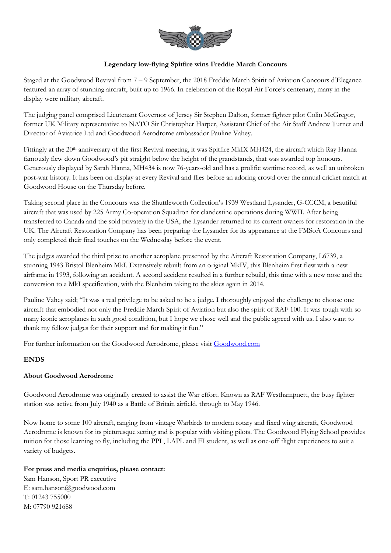

# **Legendary low-flying Spitfire wins Freddie March Concours**

Staged at the Goodwood Revival from 7 – 9 September, the 2018 Freddie March Spirit of Aviation Concours d'Elegance featured an array of stunning aircraft, built up to 1966. In celebration of the Royal Air Force's centenary, many in the display were military aircraft.

The judging panel comprised Lieutenant Governor of Jersey Sir Stephen Dalton, former fighter pilot Colin McGregor, former UK Military representative to NATO Sir Christopher Harper, Assistant Chief of the Air Staff Andrew Turner and Director of Aviatrice Ltd and Goodwood Aerodrome ambassador Pauline Vahey.

Fittingly at the 20<sup>th</sup> anniversary of the first Revival meeting, it was Spitfire MkIX MH424, the aircraft which Ray Hanna famously flew down Goodwood's pit straight below the height of the grandstands, that was awarded top honours. Generously displayed by Sarah Hanna, MH434 is now 76-years-old and has a prolific wartime record, as well an unbroken post-war history. It has been on display at every Revival and flies before an adoring crowd over the annual cricket match at Goodwood House on the Thursday before.

Taking second place in the Concours was the Shuttleworth Collection's 1939 Westland Lysander, G-CCCM, a beautiful aircraft that was used by 225 Army Co-operation Squadron for clandestine operations during WWII. After being transferred to Canada and the sold privately in the USA, the Lysander returned to its current owners for restoration in the UK. The Aircraft Restoration Company has been preparing the Lysander for its appearance at the FMSoA Concours and only completed their final touches on the Wednesday before the event.

The judges awarded the third prize to another aeroplane presented by the Aircraft Restoration Company, L6739, a stunning 1943 Bristol Blenheim MkI. Extensively rebuilt from an original MkIV, this Blenheim first flew with a new airframe in 1993, following an accident. A second accident resulted in a further rebuild, this time with a new nose and the conversion to a MkI specification, with the Blenheim taking to the skies again in 2014.

Pauline Vahey said; "It was a real privilege to be asked to be a judge. I thoroughly enjoyed the challenge to choose one aircraft that embodied not only the Freddie March Spirit of Aviation but also the spirit of RAF 100. It was tough with so many iconic aeroplanes in such good condition, but I hope we chose well and the public agreed with us. I also want to thank my fellow judges for their support and for making it fun."

For further information on the Goodwood Aerodrome, please visit Goodwood.com

### **ENDS**

### **About Goodwood Aerodrome**

Goodwood Aerodrome was originally created to assist the War effort. Known as RAF Westhampnett, the busy fighter station was active from July 1940 as a Battle of Britain airfield, through to May 1946.

Now home to some 100 aircraft, ranging from vintage Warbirds to modern rotary and fixed wing aircraft, Goodwood Aerodrome is known for its picturesque setting and is popular with visiting pilots. The Goodwood Flying School provides tuition for those learning to fly, including the PPL, LAPL and FI student, as well as one-off flight experiences to suit a variety of budgets.

#### **For press and media enquiries, please contact:**

Sam Hanson, Sport PR executive E: sam.hanson@goodwood.com T: 01243 755000 M: 07790 921688